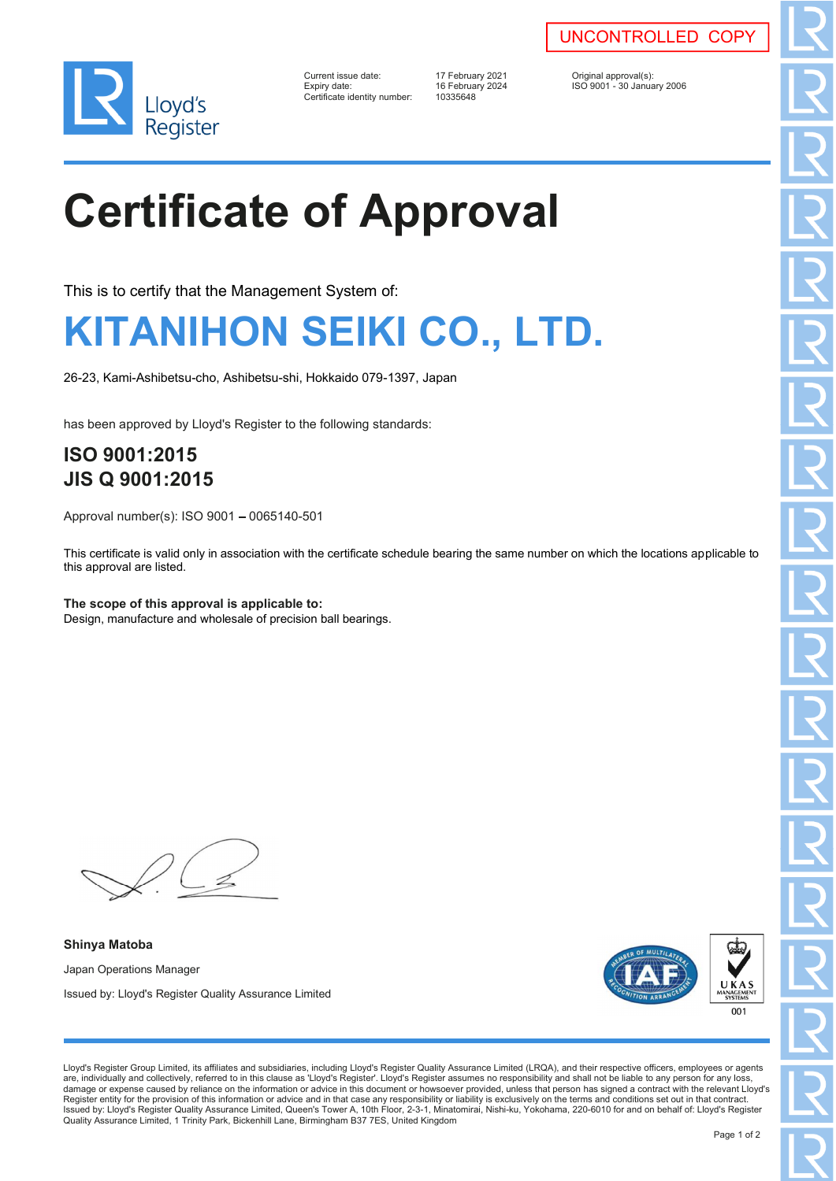

| Current issue date:        |
|----------------------------|
| Expiry date:               |
| Certificate identity numbe |

Certificate identity number: 10335648

17 February 2021 **Current Constructs** Original approval(s)<br>16 February 2024 **Current Constructs** ISO 9001 - 30 Janua Expiry date: 16 February 2024 ISO 9001 - 30 January 2006

UNCONTROLLED COPY

## **Certificate of Approval**

This is to certify that the Management System of:

## **KITANIHON SEIKI CO., LTD.**

26-23, Kami-Ashibetsu-cho, Ashibetsu-shi, Hokkaido 079-1397, Japan

has been approved by Lloyd's Register to the following standards:

## **ISO 9001:2015 JIS Q 9001:2015**

Approval number(s): ISO 9001 - 0065140-501

This certificate is valid only in association with the certificate schedule bearing the same number on which the locations applicable to this approval are listed.

**The scope of this approval is applicable to:** Design, manufacture and wholesale of precision ball bearings.

**Shinya Matoba** Japan Operations Manager Issued by: Lloyd's Register Quality Assurance Limited



Lloyd's Register Group Limited, its affiliates and subsidiaries, including Lloyd's Register Quality Assurance Limited (LRQA), and their respective officers, employees or agents are, individually and collectively, referred to in this clause as 'Lloyd's Register'. Lloyd's Register assumes no responsibility and shall not be liable to any person for any loss, damage or expense caused by reliance on the information or advice in this document or howsoever provided, unless that person has signed a contract with the relevant Lloyd's<br>Register entity for the provision of this informa Issued by: Lloyd's Register Quality Assurance Limited, Queen's Tower A, 10th Floor, 2-3-1, Minatomirai, Nishi-ku, Yokohama, 220-6010 for and on behalf of: Lloyd's Register Quality Assurance Limited, 1 Trinity Park, Bickenhill Lane, Birmingham B37 7ES, United Kingdom